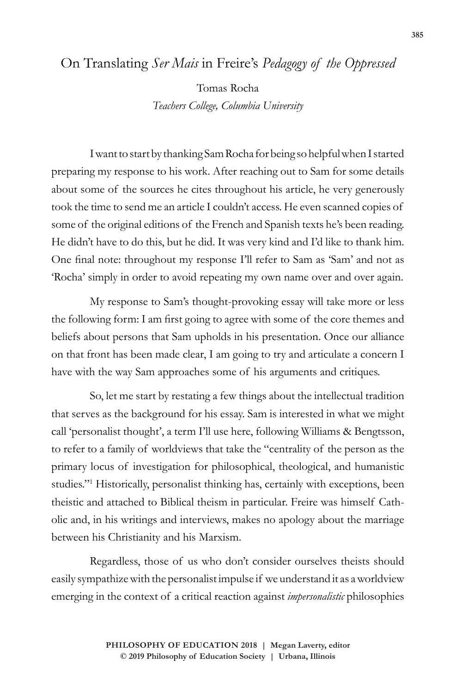## On Translating *Ser Mais* in Freire's *Pedagogy of the Oppressed*

Tomas Rocha *Teachers College, Columbia University*

I want to start by thanking Sam Rocha for being so helpful when I started preparing my response to his work. After reaching out to Sam for some details about some of the sources he cites throughout his article, he very generously took the time to send me an article I couldn't access. He even scanned copies of some of the original editions of the French and Spanish texts he's been reading. He didn't have to do this, but he did. It was very kind and I'd like to thank him. One final note: throughout my response I'll refer to Sam as 'Sam' and not as 'Rocha' simply in order to avoid repeating my own name over and over again.

My response to Sam's thought-provoking essay will take more or less the following form: I am first going to agree with some of the core themes and beliefs about persons that Sam upholds in his presentation. Once our alliance on that front has been made clear, I am going to try and articulate a concern I have with the way Sam approaches some of his arguments and critiques.

So, let me start by restating a few things about the intellectual tradition that serves as the background for his essay. Sam is interested in what we might call 'personalist thought', a term I'll use here, following Williams & Bengtsson, to refer to a family of worldviews that take the "centrality of the person as the primary locus of investigation for philosophical, theological, and humanistic studies."1 Historically, personalist thinking has, certainly with exceptions, been theistic and attached to Biblical theism in particular. Freire was himself Catholic and, in his writings and interviews, makes no apology about the marriage between his Christianity and his Marxism.

Regardless, those of us who don't consider ourselves theists should easily sympathize with the personalist impulse if we understand it as a worldview emerging in the context of a critical reaction against *impersonalistic* philosophies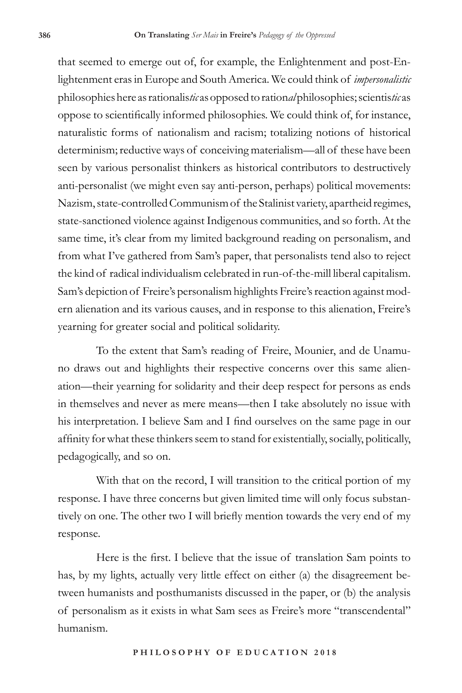that seemed to emerge out of, for example, the Enlightenment and post-Enlightenment eras in Europe and South America. We could think of *impersonalistic*  philosophies here as rationalis*tic* as opposed to ration*al* philosophies; scientis*tic* as oppose to scientifically informed philosophies. We could think of, for instance, naturalistic forms of nationalism and racism; totalizing notions of historical determinism; reductive ways of conceiving materialism—all of these have been seen by various personalist thinkers as historical contributors to destructively anti-personalist (we might even say anti-person, perhaps) political movements: Nazism, state-controlled Communism of the Stalinist variety, apartheid regimes, state-sanctioned violence against Indigenous communities, and so forth. At the same time, it's clear from my limited background reading on personalism, and from what I've gathered from Sam's paper, that personalists tend also to reject the kind of radical individualism celebrated in run-of-the-mill liberal capitalism. Sam's depiction of Freire's personalism highlights Freire's reaction against modern alienation and its various causes, and in response to this alienation, Freire's yearning for greater social and political solidarity.

To the extent that Sam's reading of Freire, Mounier, and de Unamuno draws out and highlights their respective concerns over this same alienation—their yearning for solidarity and their deep respect for persons as ends in themselves and never as mere means—then I take absolutely no issue with his interpretation. I believe Sam and I find ourselves on the same page in our affinity for what these thinkers seem to stand for existentially, socially, politically, pedagogically, and so on.

With that on the record, I will transition to the critical portion of my response. I have three concerns but given limited time will only focus substantively on one. The other two I will briefly mention towards the very end of my response.

Here is the first. I believe that the issue of translation Sam points to has, by my lights, actually very little effect on either (a) the disagreement between humanists and posthumanists discussed in the paper, or (b) the analysis of personalism as it exists in what Sam sees as Freire's more "transcendental" humanism.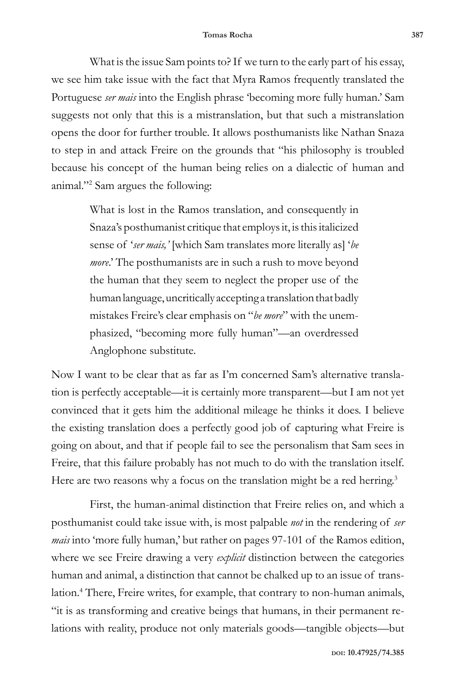What is the issue Sam points to? If we turn to the early part of his essay, we see him take issue with the fact that Myra Ramos frequently translated the Portuguese *ser mais* into the English phrase 'becoming more fully human.' Sam suggests not only that this is a mistranslation, but that such a mistranslation opens the door for further trouble. It allows posthumanists like Nathan Snaza to step in and attack Freire on the grounds that "his philosophy is troubled because his concept of the human being relies on a dialectic of human and animal."2 Sam argues the following:

> What is lost in the Ramos translation, and consequently in Snaza's posthumanist critique that employs it, is this italicized sense of '*ser mais,'* [which Sam translates more literally as] '*be more*.' The posthumanists are in such a rush to move beyond the human that they seem to neglect the proper use of the human language, uncritically accepting a translation that badly mistakes Freire's clear emphasis on "*be more*" with the unemphasized, "becoming more fully human"—an overdressed Anglophone substitute.

Now I want to be clear that as far as I'm concerned Sam's alternative translation is perfectly acceptable—it is certainly more transparent—but I am not yet convinced that it gets him the additional mileage he thinks it does. I believe the existing translation does a perfectly good job of capturing what Freire is going on about, and that if people fail to see the personalism that Sam sees in Freire, that this failure probably has not much to do with the translation itself. Here are two reasons why a focus on the translation might be a red herring.<sup>3</sup>

First, the human-animal distinction that Freire relies on, and which a posthumanist could take issue with, is most palpable *not* in the rendering of *ser mais* into 'more fully human,' but rather on pages 97-101 of the Ramos edition, where we see Freire drawing a very *explicit* distinction between the categories human and animal, a distinction that cannot be chalked up to an issue of translation.4 There, Freire writes, for example, that contrary to non-human animals, "it is as transforming and creative beings that humans, in their permanent relations with reality, produce not only materials goods—tangible objects—but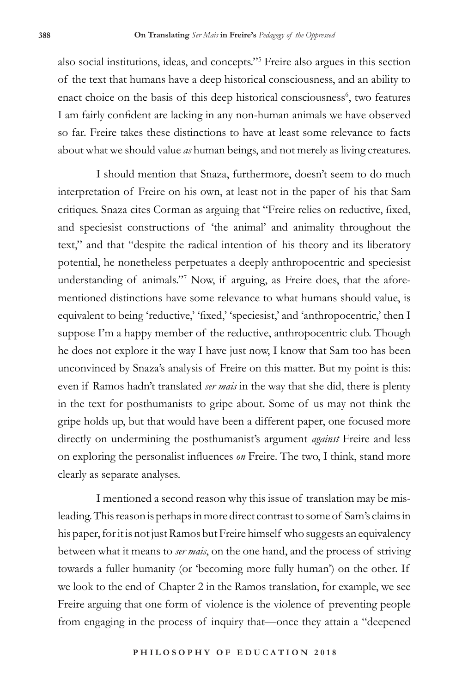also social institutions, ideas, and concepts."5 Freire also argues in this section of the text that humans have a deep historical consciousness, and an ability to enact choice on the basis of this deep historical consciousness<sup>6</sup>, two features I am fairly confident are lacking in any non-human animals we have observed so far. Freire takes these distinctions to have at least some relevance to facts about what we should value *as* human beings, and not merely as living creatures.

I should mention that Snaza, furthermore, doesn't seem to do much interpretation of Freire on his own, at least not in the paper of his that Sam critiques. Snaza cites Corman as arguing that "Freire relies on reductive, fixed, and speciesist constructions of 'the animal' and animality throughout the text," and that "despite the radical intention of his theory and its liberatory potential, he nonetheless perpetuates a deeply anthropocentric and speciesist understanding of animals."<sup>7</sup> Now, if arguing, as Freire does, that the aforementioned distinctions have some relevance to what humans should value, is equivalent to being 'reductive,' 'fixed,' 'speciesist,' and 'anthropocentric,' then I suppose I'm a happy member of the reductive, anthropocentric club. Though he does not explore it the way I have just now, I know that Sam too has been unconvinced by Snaza's analysis of Freire on this matter. But my point is this: even if Ramos hadn't translated *ser mais* in the way that she did, there is plenty in the text for posthumanists to gripe about. Some of us may not think the gripe holds up, but that would have been a different paper, one focused more directly on undermining the posthumanist's argument *against* Freire and less on exploring the personalist influences *on* Freire. The two, I think, stand more clearly as separate analyses.

I mentioned a second reason why this issue of translation may be misleading. This reason is perhaps in more direct contrast to some of Sam's claims in his paper, for it is not just Ramos but Freire himself who suggests an equivalency between what it means to *ser mais*, on the one hand, and the process of striving towards a fuller humanity (or 'becoming more fully human') on the other. If we look to the end of Chapter 2 in the Ramos translation, for example, we see Freire arguing that one form of violence is the violence of preventing people from engaging in the process of inquiry that—once they attain a "deepened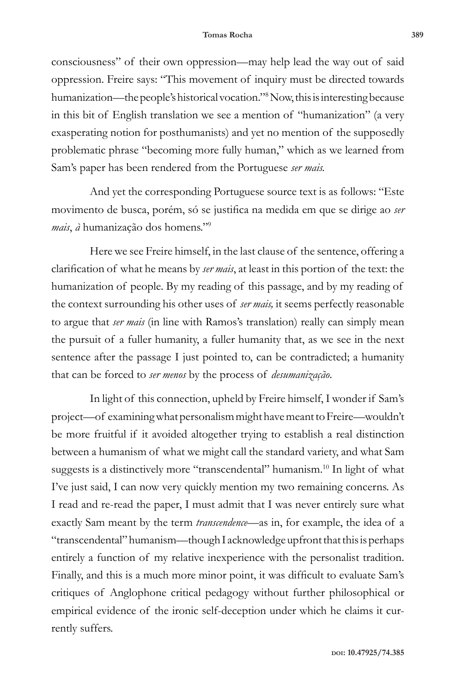consciousness" of their own oppression—may help lead the way out of said oppression. Freire says: "This movement of inquiry must be directed towards humanization—the people's historical vocation."8 Now, this is interesting because in this bit of English translation we see a mention of "humanization" (a very exasperating notion for posthumanists) and yet no mention of the supposedly problematic phrase "becoming more fully human," which as we learned from Sam's paper has been rendered from the Portuguese *ser mais.* 

And yet the corresponding Portuguese source text is as follows: "Este movimento de busca, porém, só se justifica na medida em que se dirige ao *ser mais*, *à* humanização dos homens."<sup>9</sup>

Here we see Freire himself, in the last clause of the sentence, offering a clarification of what he means by *ser mais*, at least in this portion of the text: the humanization of people. By my reading of this passage, and by my reading of the context surrounding his other uses of *ser mais,* it seems perfectly reasonable to argue that *ser mais* (in line with Ramos's translation) really can simply mean the pursuit of a fuller humanity, a fuller humanity that, as we see in the next sentence after the passage I just pointed to, can be contradicted; a humanity that can be forced to *ser menos* by the process of *desumanização*.

In light of this connection, upheld by Freire himself, I wonder if Sam's project—of examining what personalism might have meant to Freire—wouldn't be more fruitful if it avoided altogether trying to establish a real distinction between a humanism of what we might call the standard variety, and what Sam suggests is a distinctively more "transcendental" humanism.<sup>10</sup> In light of what I've just said, I can now very quickly mention my two remaining concerns. As I read and re-read the paper, I must admit that I was never entirely sure what exactly Sam meant by the term *transcendence*—as in, for example, the idea of a "transcendental" humanism—though I acknowledge upfront that this is perhaps entirely a function of my relative inexperience with the personalist tradition. Finally, and this is a much more minor point, it was difficult to evaluate Sam's critiques of Anglophone critical pedagogy without further philosophical or empirical evidence of the ironic self-deception under which he claims it currently suffers.